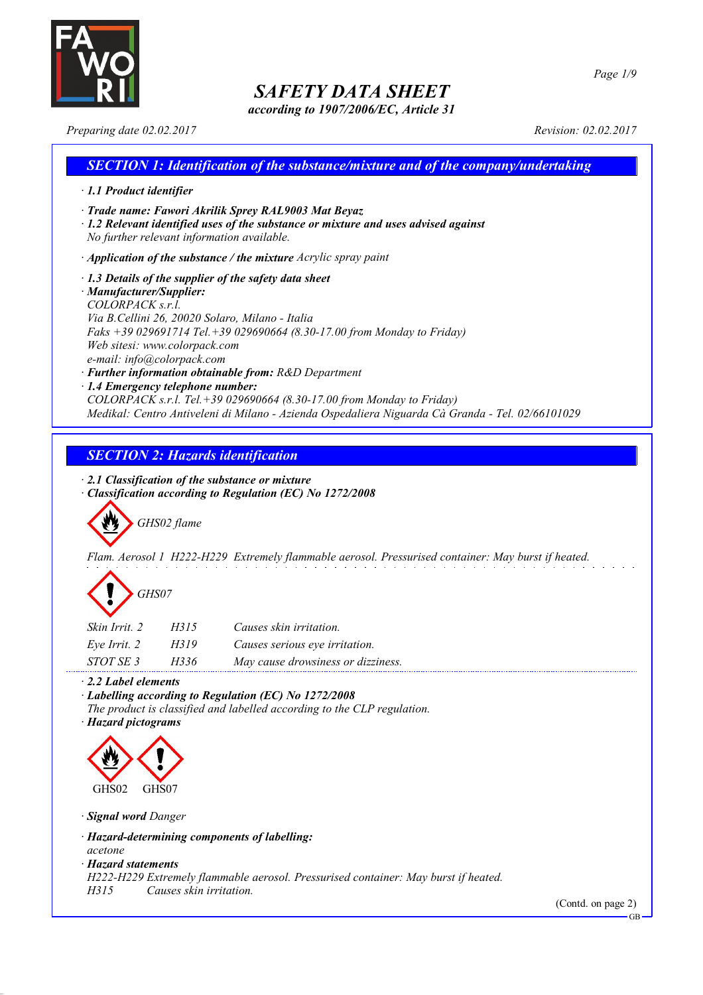

*according to 1907/2006/EC, Article 31*

*Preparing date 02.02.2017 Revision: 02.02.2017*

### *SECTION 1: Identification of the substance/mixture and of the company/undertaking · 1.1 Product identifier · Trade name: Fawori Akrilik Sprey RAL9003 Mat Beyaz · 1.2 Relevant identified uses of the substance or mixture and uses advised against No further relevant information available. · Application of the substance / the mixture Acrylic spray paint · 1.3 Details of the supplier of the safety data sheet · Manufacturer/Supplier: COLORPACK s.r.l. Via B.Cellini 26, 20020 Solaro, Milano - Italia Faks +39 029691714 Tel.+39 029690664 (8.30-17.00 from Monday to Friday) Web sitesi: www.colorpack.com*

*e-mail: info@colorpack.com*

*· Further information obtainable from: R&D Department*

*· 1.4 Emergency telephone number:*

*COLORPACK s.r.l. Tel.+39 029690664 (8.30-17.00 from Monday to Friday) Medikal: Centro Antiveleni di Milano - Azienda Ospedaliera Niguarda Cà Granda - Tel. 02/66101029*

### *SECTION 2: Hazards identification*

*· 2.1 Classification of the substance or mixture*

*· Classification according to Regulation (EC) No 1272/2008*

*GHS02 flame*

*Flam. Aerosol 1 H222-H229 Extremely flammable aerosol. Pressurised container: May burst if heated.*

# *GHS07*

| Skin Irrit, 2    | H315 | Causes skin irritation.            |
|------------------|------|------------------------------------|
| Eve Irrit. 2     | H319 | Causes serious eye irritation.     |
| <i>STOT SE 3</i> | H336 | May cause drowsiness or dizziness. |

*· 2.2 Label elements*

*· Labelling according to Regulation (EC) No 1272/2008*

*The product is classified and labelled according to the CLP regulation.*

*· Hazard pictograms*



*· Signal word Danger*

*· Hazard-determining components of labelling:*

*acetone*

*· Hazard statements*

*H222-H229 Extremely flammable aerosol. Pressurised container: May burst if heated.*

*H315 Causes skin irritation.*

(Contd. on page 2)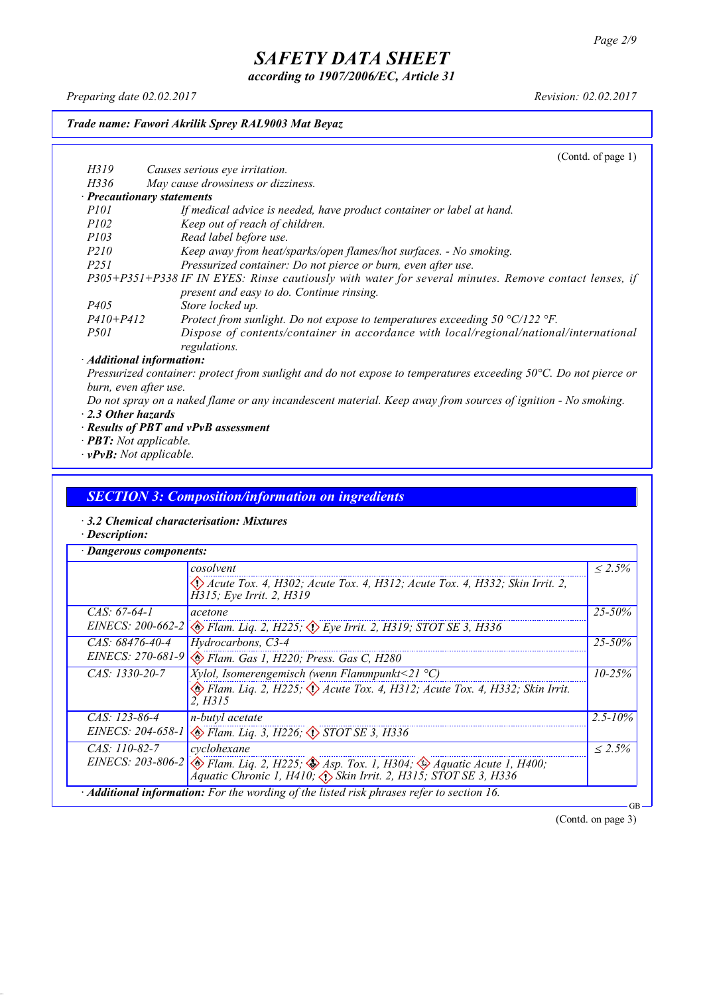*according to 1907/2006/EC, Article 31*

*Preparing date 02.02.2017 Revision: 02.02.2017*

#### *Trade name: Fawori Akrilik Sprey RAL9003 Mat Beyaz*

(Contd. of page 1) *H319 Causes serious eye irritation. H336 May cause drowsiness or dizziness. · Precautionary statements P101 If medical advice is needed, have product container or label at hand. P102 Keep out of reach of children. P103 Read label before use. P210 Keep away from heat/sparks/open flames/hot surfaces. - No smoking. P251 Pressurized container: Do not pierce or burn, even after use. P305+P351+P338 IF IN EYES: Rinse cautiously with water for several minutes. Remove contact lenses, if present and easy to do. Continue rinsing. P405 Store locked up. P410+P412 Protect from sunlight. Do not expose to temperatures exceeding 50 °C/122 °F. P501 Dispose of contents/container in accordance with local/regional/national/international regulations. · Additional information:*

Pressurized container: protect from sunlight and do not expose to temperatures exceeding 50°C. Do not pierce or *burn, even after use.*

- Do not spray on a naked flame or any incandescent material. Keep away from sources of ignition No smoking. *· 2.3 Other hazards*
- *· Results of PBT and vPvB assessment*
- *· PBT: Not applicable.*
- *· vPvB: Not applicable.*

#### *SECTION 3: Composition/information on ingredients*

- *· 3.2 Chemical characterisation: Mixtures*
- *· Description:*

|                     | cosolvent                                                                                                                                                                                        | $\leq 2.5\%$ |
|---------------------|--------------------------------------------------------------------------------------------------------------------------------------------------------------------------------------------------|--------------|
|                     | $\langle \rangle$ Acute Tox. 4, H302; Acute Tox. 4, H312; Acute Tox. 4, H332; Skin Irrit. 2,<br>H315; Eye Irrit. 2, H319                                                                         |              |
| $CAS: 67-64-1$      | acetone                                                                                                                                                                                          | $25 - 50\%$  |
| EINECS: $200-662-2$ | $\otimes$ Flam. Liq. 2, H225; $\otimes$ Eye Irrit. 2, H319; STOT SE 3, H336                                                                                                                      |              |
| $CAS: 68476-40-4$   | Hydrocarbons, C3-4                                                                                                                                                                               | $25 - 50\%$  |
|                     | EINECS: 270-681-9 & Flam. Gas 1, H220; Press. Gas C, H280                                                                                                                                        |              |
| $CAS: 1330-20-7$    | <i>Xylol, Isomerengemisch (wenn Flammpunkt</i> <21 $^{\circ}$ C)                                                                                                                                 | $10 - 25\%$  |
|                     | Elam. Liq. 2, H225; $\Diamond$ Acute Tox. 4, H312; Acute Tox. 4, H332; Skin Irrit.<br>2. H315                                                                                                    |              |
| $CAS: 123-86-4$     | n-butyl acetate                                                                                                                                                                                  | $2.5 - 10\%$ |
|                     | EINECS: 204-658-1 & Flam. Liq. 3, H226; STOT SE 3, H336                                                                                                                                          |              |
| $CAS: 110-82-7$     | cyclohexane                                                                                                                                                                                      | $\leq 2.5\%$ |
|                     | EINECS: 203-806-2 $\otimes$ Flam. Liq. 2, H225; $\otimes$ Asp. Tox. 1, H304; $\otimes$ Aquatic Acute 1, H400;<br>Áquatic Chronic 1, H410, $\langle \rangle$ Skin Irrit. 2, H315; STOT SE 3, H336 |              |

(Contd. on page 3)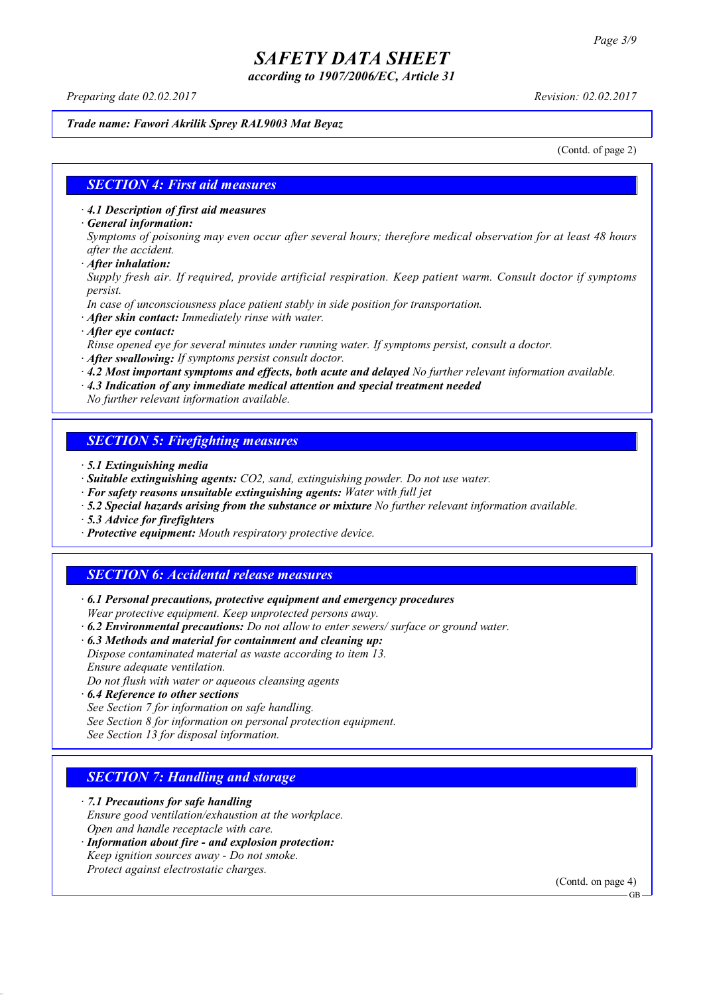*according to 1907/2006/EC, Article 31*

*Preparing date 02.02.2017 Revision: 02.02.2017*

#### *Trade name: Fawori Akrilik Sprey RAL9003 Mat Beyaz*

(Contd. of page 2)

#### *SECTION 4: First aid measures*

*· 4.1 Description of first aid measures*

*· General information:*

Symptoms of poisoning may even occur after several hours; therefore medical observation for at least 48 hours *after the accident.*

*· After inhalation:*

*Supply fresh air. If required, provide artificial respiration. Keep patient warm. Consult doctor if symptoms persist.*

*In case of unconsciousness place patient stably in side position for transportation.*

- *· After skin contact: Immediately rinse with water.*
- *· After eye contact:*

*Rinse opened eye for several minutes under running water. If symptoms persist, consult a doctor.*

*· After swallowing: If symptoms persist consult doctor.*

*· 4.2 Most important symptoms and effects, both acute and delayed No further relevant information available.*

*· 4.3 Indication of any immediate medical attention and special treatment needed*

*No further relevant information available.*

#### *SECTION 5: Firefighting measures*

- *· 5.1 Extinguishing media*
- *· Suitable extinguishing agents: CO2, sand, extinguishing powder. Do not use water.*
- *· For safety reasons unsuitable extinguishing agents: Water with full jet*
- *· 5.2 Special hazards arising from the substance or mixture No further relevant information available.*
- *· 5.3 Advice for firefighters*
- *· Protective equipment: Mouth respiratory protective device.*

#### *SECTION 6: Accidental release measures*

*· 6.1 Personal precautions, protective equipment and emergency procedures Wear protective equipment. Keep unprotected persons away.*

*· 6.2 Environmental precautions: Do not allow to enter sewers/ surface or ground water.*

*· 6.3 Methods and material for containment and cleaning up:*

*Dispose contaminated material as waste according to item 13. Ensure adequate ventilation.*

*Do not flush with water or aqueous cleansing agents*

- *· 6.4 Reference to other sections*
- *See Section 7 for information on safe handling.*
- *See Section 8 for information on personal protection equipment.*

*See Section 13 for disposal information.*

#### *SECTION 7: Handling and storage*

*· 7.1 Precautions for safe handling*

*Ensure good ventilation/exhaustion at the workplace.*

- *Open and handle receptacle with care.*
- *· Information about fire - and explosion protection: Keep ignition sources away - Do not smoke.*
- *Protect against electrostatic charges.*

(Contd. on page 4)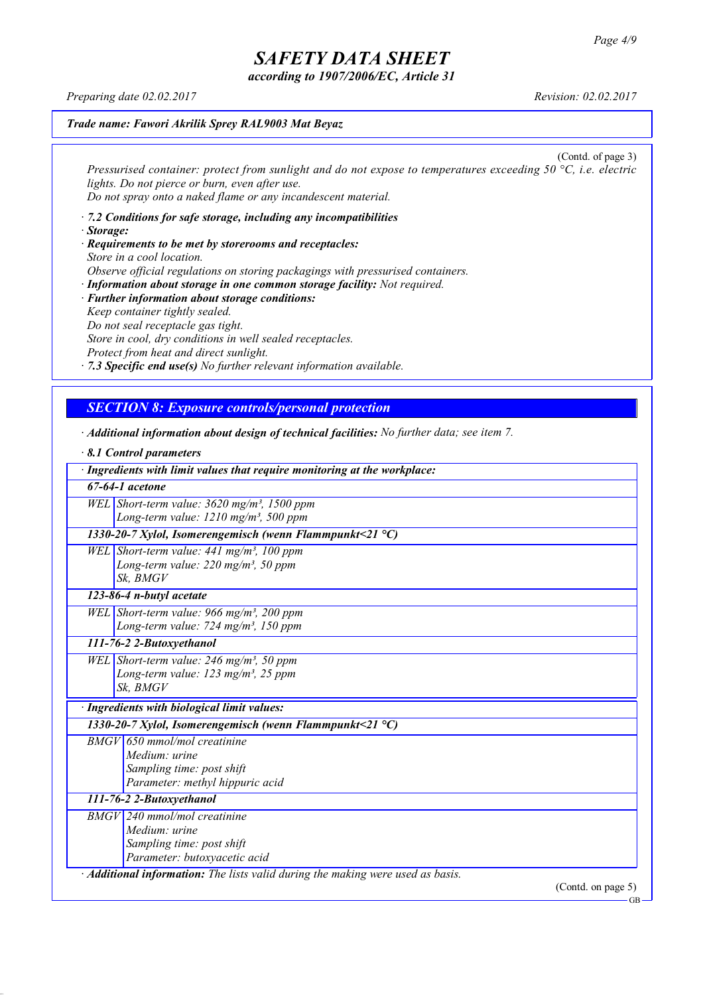*according to 1907/2006/EC, Article 31*

*Preparing date 02.02.2017 Revision: 02.02.2017*

#### *Trade name: Fawori Akrilik Sprey RAL9003 Mat Beyaz*

(Contd. of page 3) *Pressurised container: protect from sunlight and do not expose to temperatures exceeding 50 °C, i.e. electric lights. Do not pierce or burn, even after use. Do not spray onto a naked flame or any incandescent material.*

- *· 7.2 Conditions for safe storage, including any incompatibilities · Storage:*
- *· Requirements to be met by storerooms and receptacles: Store in a cool location. Observe official regulations on storing packagings with pressurised containers.*
- *· Information about storage in one common storage facility: Not required. · Further information about storage conditions: Keep container tightly sealed. Do not seal receptacle gas tight. Store in cool, dry conditions in well sealed receptacles. Protect from heat and direct sunlight.*

*· 7.3 Specific end use(s) No further relevant information available.*

### *SECTION 8: Exposure controls/personal protection*

*· Additional information about design of technical facilities: No further data; see item 7.*

| $\cdot$ 8.1 Control parameters                                                                                           |
|--------------------------------------------------------------------------------------------------------------------------|
| · Ingredients with limit values that require monitoring at the workplace:                                                |
| $67-64-1$ acetone                                                                                                        |
| WEL Short-term value: $3620$ mg/m <sup>3</sup> , 1500 ppm<br>Long-term value: $1210$ mg/m <sup>3</sup> , 500 ppm         |
| 1330-20-7 Xylol, Isomerengemisch (wenn Flammpunkt<21 $^{\circ}$ C)                                                       |
| WEL Short-term value: $441$ mg/m <sup>3</sup> , 100 ppm<br>Long-term value: $220$ mg/m <sup>3</sup> , 50 ppm<br>Sk, BMGV |
| 123-86-4 n-butyl acetate                                                                                                 |
| WEL Short-term value: 966 mg/m <sup>3</sup> , 200 ppm<br>Long-term value: 724 mg/m <sup>3</sup> , 150 ppm                |
| 111-76-2 2-Butoxyethanol                                                                                                 |
| WEL Short-term value: $246$ mg/m <sup>3</sup> , 50 ppm<br>Long-term value: 123 mg/m <sup>3</sup> , 25 ppm<br>Sk. BMGV    |
| · Ingredients with biological limit values:                                                                              |
| 1330-20-7 Xylol, Isomerengemisch (wenn Flammpunkt<21 $^{\circ}$ C)                                                       |
| $BMGV$ 650 mmol/mol creatinine<br>Medium: urine<br>Sampling time: post shift<br>Parameter: methyl hippuric acid          |
| 111-76-2 2-Butoxyethanol                                                                                                 |
| $BMGV$ 240 mmol/mol creatinine<br>Medium: urine<br>Sampling time: post shift<br>Parameter: butoxyacetic acid             |
| · <b>Additional information:</b> The lists valid during the making were used as basis.                                   |
| (Contd. on page $5$ )                                                                                                    |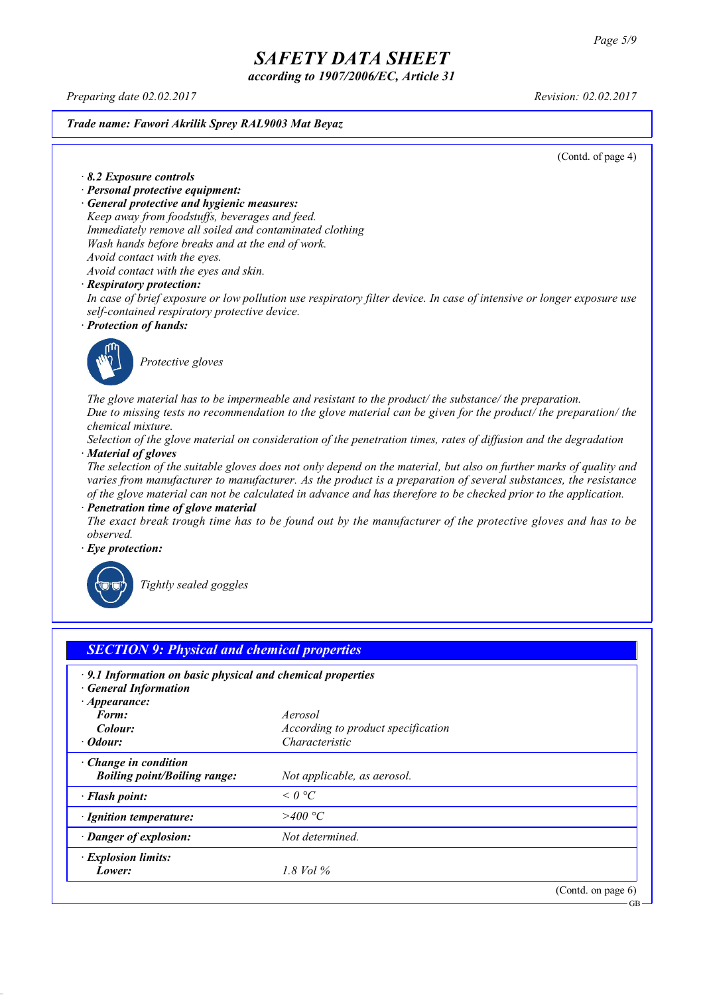*according to 1907/2006/EC, Article 31*

*Preparing date 02.02.2017 Revision: 02.02.2017*

*Trade name: Fawori Akrilik Sprey RAL9003 Mat Beyaz*

(Contd. of page 4)

*· 8.2 Exposure controls*

- *· Personal protective equipment:*
- *· General protective and hygienic measures:*

*Keep away from foodstuffs, beverages and feed. Immediately remove all soiled and contaminated clothing Wash hands before breaks and at the end of work.*

*Avoid contact with the eyes.*

*Avoid contact with the eyes and skin.*

#### *· Respiratory protection:*

In case of brief exposure or low pollution use respiratory filter device. In case of intensive or longer exposure use *self-contained respiratory protective device.*

*· Protection of hands:*



*Protective gloves*

*The glove material has to be impermeable and resistant to the product/ the substance/ the preparation.* Due to missing tests no recommendation to the glove material can be given for the product/ the preparation/ the *chemical mixture.*

Selection of the glove material on consideration of the penetration times, rates of diffusion and the degradation *· Material of gloves*

The selection of the suitable gloves does not only depend on the material, but also on further marks of quality and *varies from manufacturer to manufacturer. As the product is a preparation of several substances, the resistance* of the glove material can not be calculated in advance and has therefore to be checked prior to the application.

*· Penetration time of glove material*

The exact break trough time has to be found out by the manufacturer of the protective gloves and has to be *observed.*

*· Eye protection:*



*Tightly sealed goggles*

| $\cdot$ 9.1 Information on basic physical and chemical properties |                                    |  |
|-------------------------------------------------------------------|------------------------------------|--|
| <b>General Information</b><br>$\cdot$ Appearance:                 |                                    |  |
| Form:                                                             | Aerosol                            |  |
| Colour:                                                           | According to product specification |  |
| $\cdot$ Odour:                                                    | Characteristic                     |  |
| Change in condition                                               |                                    |  |
| <b>Boiling point/Boiling range:</b>                               | Not applicable, as aerosol.        |  |
| · Flash point:                                                    | $\leq$ 0 °C                        |  |
| · Ignition temperature:                                           | >400 °C                            |  |
| · Danger of explosion:                                            | Not determined.                    |  |
| · Explosion limits:                                               |                                    |  |
| Lower:                                                            | $1.8$ Vol $\%$                     |  |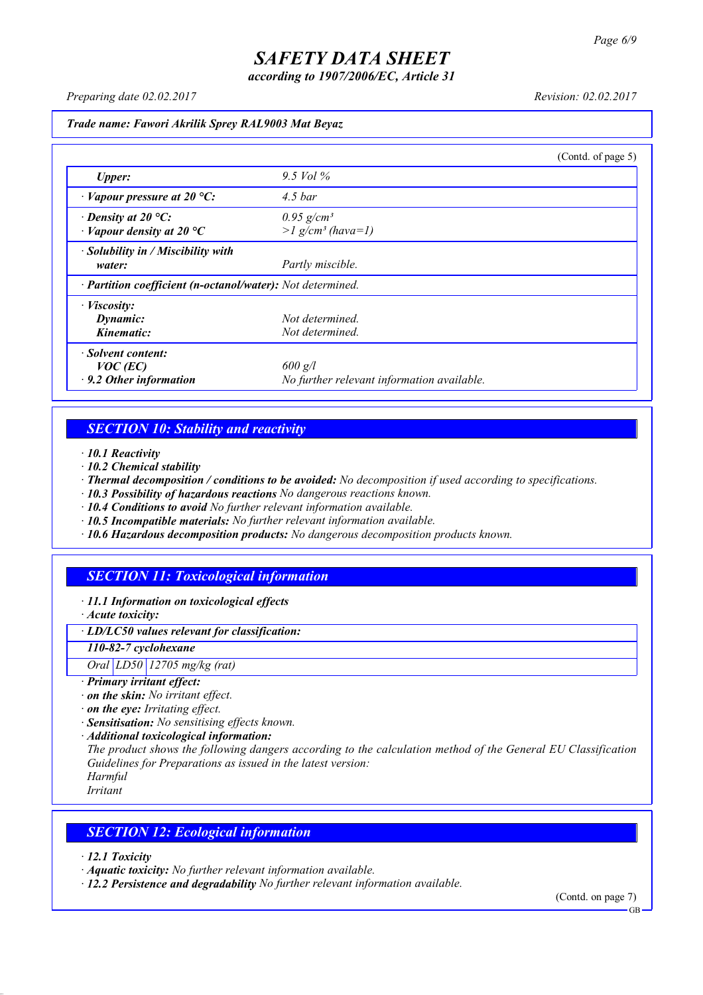*according to 1907/2006/EC, Article 31*

*Preparing date 02.02.2017 Revision: 02.02.2017*

#### *Trade name: Fawori Akrilik Sprey RAL9003 Mat Beyaz*

|                                                            |                                            | (Contd. of page 5) |
|------------------------------------------------------------|--------------------------------------------|--------------------|
| <b>Upper:</b>                                              | 9.5 Vol $\%$                               |                    |
| $\cdot$ Vapour pressure at 20 °C:                          | $4.5\,bar$                                 |                    |
| $\cdot$ Density at 20 °C:                                  | $0.95$ g/cm <sup>3</sup>                   |                    |
| $\cdot$ Vapour density at 20 °C                            | $>l$ g/cm <sup>3</sup> (hava=1)            |                    |
| · Solubility in / Miscibility with                         |                                            |                    |
| water:                                                     | Partly miscible.                           |                    |
| · Partition coefficient (n-octanol/water): Not determined. |                                            |                    |
| $\cdot$ <i>Viscosity:</i>                                  |                                            |                    |
| Dynamic:                                                   | Not determined.                            |                    |
| Kinematic:                                                 | Not determined.                            |                    |
| · Solvent content:                                         |                                            |                    |
| $VOC$ (EC)                                                 | $600$ g/l                                  |                    |
| $\cdot$ 9.2 Other information                              | No further relevant information available. |                    |

### *SECTION 10: Stability and reactivity*

- *· 10.1 Reactivity*
- *· 10.2 Chemical stability*
- *· Thermal decomposition / conditions to be avoided: No decomposition if used according to specifications.*
- *· 10.3 Possibility of hazardous reactions No dangerous reactions known.*
- *· 10.4 Conditions to avoid No further relevant information available.*
- *· 10.5 Incompatible materials: No further relevant information available.*
- *· 10.6 Hazardous decomposition products: No dangerous decomposition products known.*

### *SECTION 11: Toxicological information*

- *· 11.1 Information on toxicological effects*
- *· Acute toxicity:*

#### *· LD/LC50 values relevant for classification:*

#### *110-82-7 cyclohexane*

*Oral LD50 12705 mg/kg (rat)*

#### *· Primary irritant effect:*

- *· on the skin: No irritant effect.*
- *· on the eye: Irritating effect.*
- *· Sensitisation: No sensitising effects known.*
- *· Additional toxicological information:*

*The product shows the following dangers according to the calculation method of the General EU Classification Guidelines for Preparations as issued in the latest version:*

*Harmful*

*Irritant*

### *SECTION 12: Ecological information*

*· 12.1 Toxicity*

- *· Aquatic toxicity: No further relevant information available.*
- *· 12.2 Persistence and degradability No further relevant information available.*

(Contd. on page 7)  $\overline{G}$ B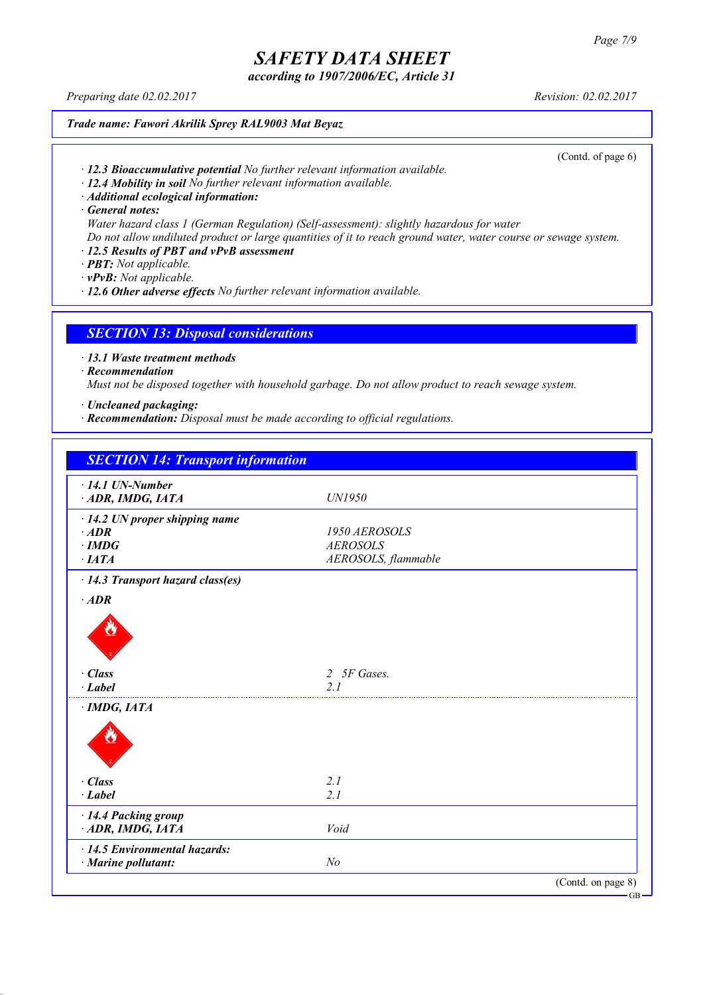*according to 1907/2006/EC, Article 31*

*Preparing date 02.02.2017 Revision: 02.02.2017*

*Trade name: Fawori Akrilik Sprey RAL9003 Mat Beyaz*

(Contd. of page 6)

- *· 12.3 Bioaccumulative potential No further relevant information available.*
- *· 12.4 Mobility in soil No further relevant information available.*
- *· Additional ecological information:*

*· General notes:*

*Water hazard class 1 (German Regulation) (Self-assessment): slightly hazardous for water*

Do not allow undiluted product or large quantities of it to reach ground water, water course or sewage system.

- *· 12.5 Results of PBT and vPvB assessment*
- *· PBT: Not applicable.*
- *· vPvB: Not applicable.*
- *· 12.6 Other adverse effects No further relevant information available.*

*SECTION 13: Disposal considerations*

*· 13.1 Waste treatment methods*

*· Recommendation*

*Must not be disposed together with household garbage. Do not allow product to reach sewage system.*

*· Uncleaned packaging:*

*· Recommendation: Disposal must be made according to official regulations.*

| $\cdot$ 14.1 UN-Number               | <i>UN1950</i>       |  |
|--------------------------------------|---------------------|--|
| ADR, IMDG, IATA                      |                     |  |
| $\cdot$ 14.2 UN proper shipping name |                     |  |
| $·$ <i>ADR</i>                       | 1950 AEROSOLS       |  |
| $\cdot$ IMDG<br>$\cdot$ IATA         | <b>AEROSOLS</b>     |  |
|                                      | AEROSOLS, flammable |  |
| · 14.3 Transport hazard class(es)    |                     |  |
| $·$ <i>ADR</i>                       |                     |  |
|                                      |                     |  |
|                                      |                     |  |
|                                      |                     |  |
|                                      |                     |  |
| $\cdot$ Class                        | 2 5F Gases.         |  |
| $\cdot$ Label                        | 2.1                 |  |
| $\cdot$ IMDG, IATA                   |                     |  |
|                                      |                     |  |
|                                      |                     |  |
|                                      |                     |  |
|                                      |                     |  |
| · Class                              | 2.1                 |  |
| $\cdot$ Label                        | 2.1                 |  |
|                                      |                     |  |
| · 14.4 Packing group                 | Void                |  |
| ADR, IMDG, IATA                      |                     |  |
| $\cdot$ 14.5 Environmental hazards:  |                     |  |
| $\cdot$ Marine pollutant:            | N <sub>o</sub>      |  |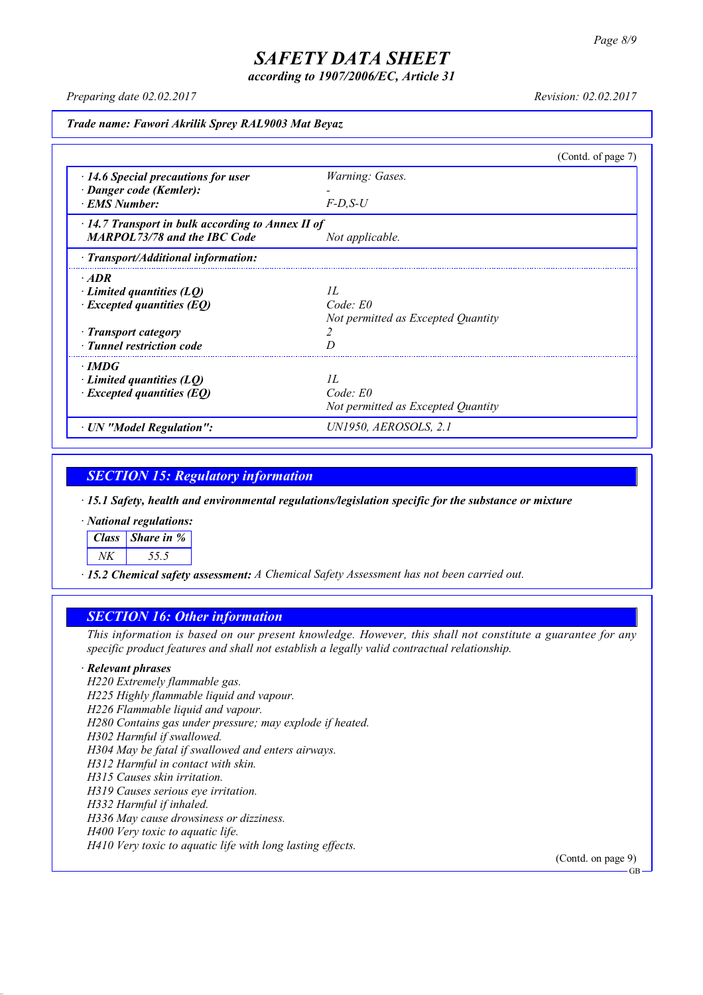*according to 1907/2006/EC, Article 31*

*Preparing date 02.02.2017 Revision: 02.02.2017*

*Trade name: Fawori Akrilik Sprey RAL9003 Mat Beyaz*

|                                                         | (Contd. of page 7)                 |  |
|---------------------------------------------------------|------------------------------------|--|
| $\cdot$ 14.6 Special precautions for user               | Warning: Gases.                    |  |
| · Danger code (Kemler):                                 |                                    |  |
| · EMS Number:                                           | $F$ -D.S-U                         |  |
| $\cdot$ 14.7 Transport in bulk according to Annex II of |                                    |  |
| <b>MARPOL73/78 and the IBC Code</b>                     | Not applicable.                    |  |
| $\cdot$ Transport/Additional information:               |                                    |  |
| $\cdot$ ADR                                             |                                    |  |
| $\cdot$ Limited quantities (LQ)                         | II.                                |  |
| $\cdot$ Excepted quantities (EQ)                        | Code: E0                           |  |
|                                                         | Not permitted as Excepted Quantity |  |
| · Transport category                                    |                                    |  |
| · Tunnel restriction code                               |                                    |  |
| $\cdot$ IMDG                                            |                                    |  |
| Limited quantities $(LQ)$                               | II.                                |  |
| $\cdot$ Excepted quantities (EQ)                        | Code: E0                           |  |
|                                                         | Not permitted as Excepted Quantity |  |
| · UN "Model Regulation":                                | UN1950, AEROSOLS, 2.1              |  |

*SECTION 15: Regulatory information*

*· 15.1 Safety, health and environmental regulations/legislation specific for the substance or mixture*

*· National regulations:*

| $\overline{Class}$ Share in % |
|-------------------------------|
|                               |

*· 15.2 Chemical safety assessment: A Chemical Safety Assessment has not been carried out.*

#### *SECTION 16: Other information*

This information is based on our present knowledge. However, this shall not constitute a guarantee for any *specific product features and shall not establish a legally valid contractual relationship.*

#### *· Relevant phrases*

*H220 Extremely flammable gas. H225 Highly flammable liquid and vapour. H226 Flammable liquid and vapour. H280 Contains gas under pressure; may explode if heated. H302 Harmful if swallowed. H304 May be fatal if swallowed and enters airways. H312 Harmful in contact with skin. H315 Causes skin irritation. H319 Causes serious eye irritation. H332 Harmful if inhaled. H336 May cause drowsiness or dizziness. H400 Very toxic to aquatic life. H410 Very toxic to aquatic life with long lasting effects.*

(Contd. on page 9)